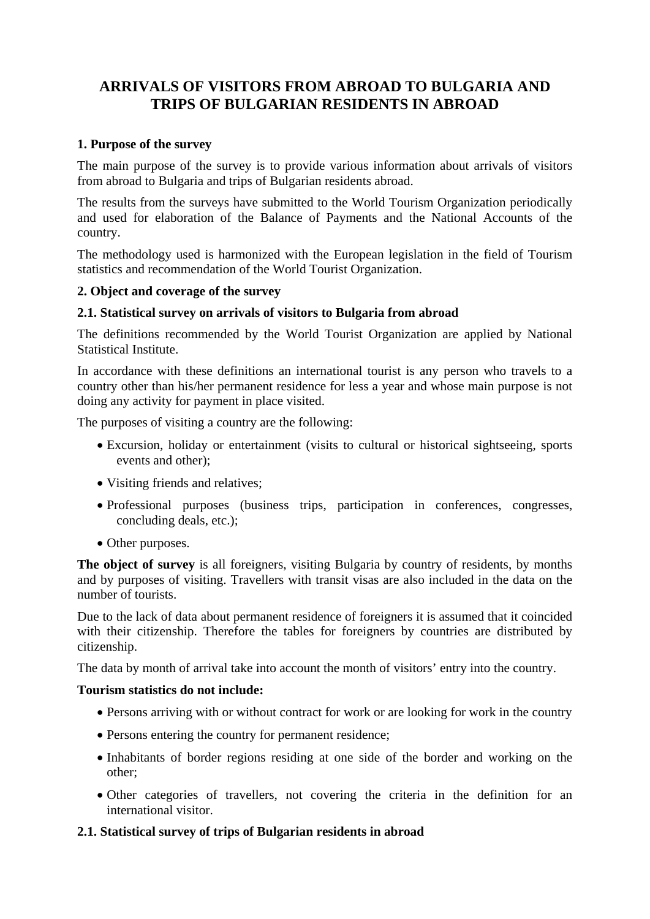# **ARRIVALS OF VISITORS FROM ABROAD TO BULGARIA AND TRIPS OF BULGARIAN RESIDENTS IN ABROAD**

## **1. Purpose of the survey**

The main purpose of the survey is to provide various information about arrivals of visitors from abroad to Bulgaria and trips of Bulgarian residents abroad.

The results from the surveys have submitted to the World Tourism Organization periodically and used for elaboration of the Balance of Payments and the National Accounts of the country.

The methodology used is harmonized with the European legislation in the field of Tourism statistics and recommendation of the World Tourist Organization.

## **2. Object and coverage of the survey**

#### **2.1. Statistical survey on arrivals of visitors to Bulgaria from abroad**

The definitions recommended by the World Tourist Organization are applied by National Statistical Institute.

In accordance with these definitions an international tourist is any person who travels to a country other than his/her permanent residence for less a year and whose main purpose is not doing any activity for payment in place visited.

The purposes of visiting a country are the following:

- Excursion, holiday or entertainment (visits to cultural or historical sightseeing, sports events and other);
- Visiting friends and relatives;
- Professional purposes (business trips, participation in conferences, congresses, concluding deals, etc.);
- Other purposes.

**The object of survey** is all foreigners, visiting Bulgaria by country of residents, by months and by purposes of visiting. Travellers with transit visas are also included in the data on the number of tourists.

Due to the lack of data about permanent residence of foreigners it is assumed that it coincided with their citizenship. Therefore the tables for foreigners by countries are distributed by citizenship.

The data by month of arrival take into account the month of visitors' entry into the country.

#### **Tourism statistics do not include:**

- Persons arriving with or without contract for work or are looking for work in the country
- Persons entering the country for permanent residence;
- Inhabitants of border regions residing at one side of the border and working on the other;
- Other categories of travellers, not covering the criteria in the definition for an international visitor.

#### **2.1. Statistical survey of trips of Bulgarian residents in abroad**